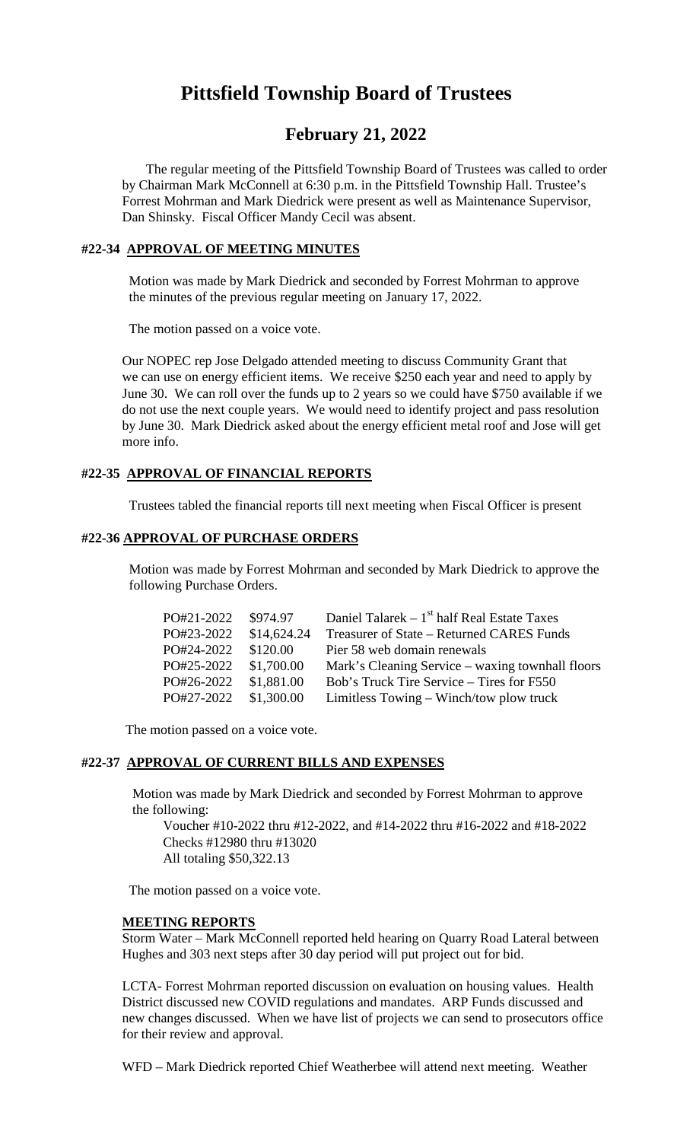# **Pittsfield Township Board of Trustees**

## **February 21, 2022**

The regular meeting of the Pittsfield Township Board of Trustees was called to order by Chairman Mark McConnell at 6:30 p.m. in the Pittsfield Township Hall. Trustee's Forrest Mohrman and Mark Diedrick were present as well as Maintenance Supervisor, Dan Shinsky. Fiscal Officer Mandy Cecil was absent.

## **#22-34 APPROVAL OF MEETING MINUTES**

Motion was made by Mark Diedrick and seconded by Forrest Mohrman to approve the minutes of the previous regular meeting on January 17, 2022.

The motion passed on a voice vote.

Our NOPEC rep Jose Delgado attended meeting to discuss Community Grant that we can use on energy efficient items. We receive \$250 each year and need to apply by June 30. We can roll over the funds up to 2 years so we could have \$750 available if we do not use the next couple years. We would need to identify project and pass resolution by June 30. Mark Diedrick asked about the energy efficient metal roof and Jose will get more info.

## **#22-35 APPROVAL OF FINANCIAL REPORTS**

Trustees tabled the financial reports till next meeting when Fiscal Officer is present

### **#22-36 APPROVAL OF PURCHASE ORDERS**

Motion was made by Forrest Mohrman and seconded by Mark Diedrick to approve the following Purchase Orders.

| PO#21-2022 | \$974.97    | Daniel Talarek – $1st$ half Real Estate Taxes    |
|------------|-------------|--------------------------------------------------|
| PO#23-2022 | \$14,624.24 | Treasurer of State – Returned CARES Funds        |
| PO#24-2022 | \$120.00    | Pier 58 web domain renewals                      |
| PO#25-2022 | \$1,700.00  | Mark's Cleaning Service – waxing townhall floors |
| PO#26-2022 | \$1,881.00  | Bob's Truck Tire Service – Tires for F550        |
| PO#27-2022 | \$1,300.00  | Limitless Towing – Winch/tow plow truck          |

The motion passed on a voice vote.

## **#22-37 APPROVAL OF CURRENT BILLS AND EXPENSES**

Motion was made by Mark Diedrick and seconded by Forrest Mohrman to approve the following:

Voucher #10-2022 thru #12-2022, and #14-2022 thru #16-2022 and #18-2022 Checks #12980 thru #13020 All totaling \$50,322.13

The motion passed on a voice vote.

#### **MEETING REPORTS**

Storm Water – Mark McConnell reported held hearing on Quarry Road Lateral between Hughes and 303 next steps after 30 day period will put project out for bid.

LCTA- Forrest Mohrman reported discussion on evaluation on housing values. Health District discussed new COVID regulations and mandates. ARP Funds discussed and new changes discussed. When we have list of projects we can send to prosecutors office for their review and approval.

WFD – Mark Diedrick reported Chief Weatherbee will attend next meeting. Weather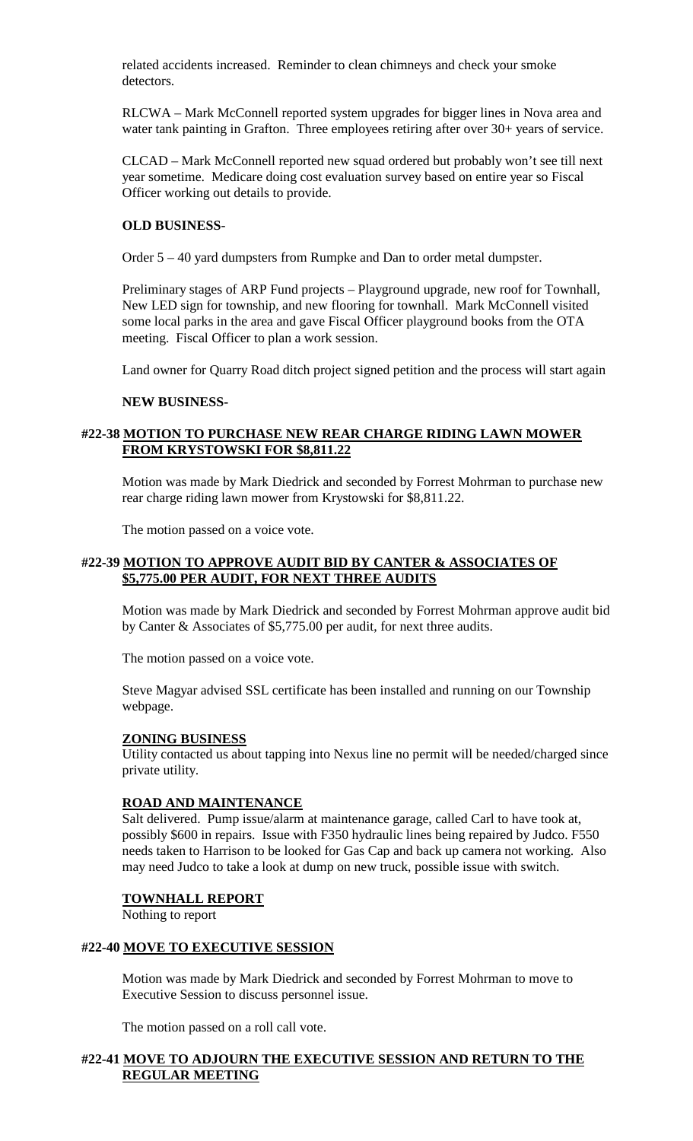related accidents increased. Reminder to clean chimneys and check your smoke detectors.

RLCWA – Mark McConnell reported system upgrades for bigger lines in Nova area and water tank painting in Grafton. Three employees retiring after over 30+ years of service.

CLCAD – Mark McConnell reported new squad ordered but probably won't see till next year sometime. Medicare doing cost evaluation survey based on entire year so Fiscal Officer working out details to provide.

## **OLD BUSINESS**-

Order 5 – 40 yard dumpsters from Rumpke and Dan to order metal dumpster.

Preliminary stages of ARP Fund projects – Playground upgrade, new roof for Townhall, New LED sign for township, and new flooring for townhall. Mark McConnell visited some local parks in the area and gave Fiscal Officer playground books from the OTA meeting. Fiscal Officer to plan a work session.

Land owner for Quarry Road ditch project signed petition and the process will start again

### **NEW BUSINESS-**

## **#22-38 MOTION TO PURCHASE NEW REAR CHARGE RIDING LAWN MOWER FROM KRYSTOWSKI FOR \$8,811.22**

Motion was made by Mark Diedrick and seconded by Forrest Mohrman to purchase new rear charge riding lawn mower from Krystowski for \$8,811.22.

The motion passed on a voice vote.

## **#22-39 MOTION TO APPROVE AUDIT BID BY CANTER & ASSOCIATES OF \$5,775.00 PER AUDIT, FOR NEXT THREE AUDITS**

Motion was made by Mark Diedrick and seconded by Forrest Mohrman approve audit bid by Canter & Associates of \$5,775.00 per audit, for next three audits.

The motion passed on a voice vote.

Steve Magyar advised SSL certificate has been installed and running on our Township webpage.

### **ZONING BUSINESS**

Utility contacted us about tapping into Nexus line no permit will be needed/charged since private utility.

## **ROAD AND MAINTENANCE**

Salt delivered. Pump issue/alarm at maintenance garage, called Carl to have took at, possibly \$600 in repairs. Issue with F350 hydraulic lines being repaired by Judco. F550 needs taken to Harrison to be looked for Gas Cap and back up camera not working. Also may need Judco to take a look at dump on new truck, possible issue with switch.

### **TOWNHALL REPORT**

Nothing to report

## **#22-40 MOVE TO EXECUTIVE SESSION**

Motion was made by Mark Diedrick and seconded by Forrest Mohrman to move to Executive Session to discuss personnel issue.

The motion passed on a roll call vote.

## **#22-41 MOVE TO ADJOURN THE EXECUTIVE SESSION AND RETURN TO THE REGULAR MEETING**